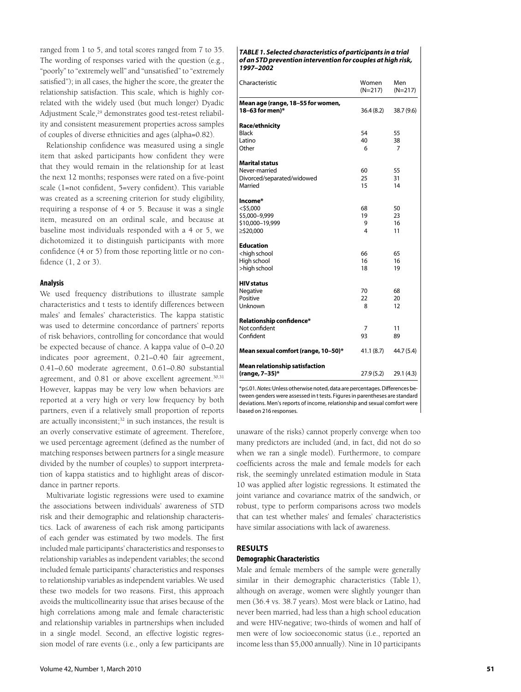## *TABLE 1. Selected characteristics of participants in a trial of an STD prevention intervention for couples at high risk, 1997–2002*

| Characteristic                                                                  | Women<br>$(N=217)$ | Men<br>$(N=217)$           |
|---------------------------------------------------------------------------------|--------------------|----------------------------|
| Mean age (range, 18-55 for women,<br>18-63 for men)*                            | 36.4(8.2)          | 38.7 (9.6)                 |
| Race/ethnicity<br>Black<br>Latino<br>Other                                      | 54<br>40<br>6      | 55<br>38<br>$\overline{7}$ |
| <b>Marital status</b><br>Never-married<br>Divorced/separated/widowed<br>Married | 60<br>25<br>15     | 55<br>31<br>14             |
| Income*<br>$<$ \$5,000<br>\$5,000-9,999<br>\$10,000-19,999<br>≥\$20,000         | 68<br>19<br>9<br>4 | 50<br>23<br>16<br>11       |
| <b>Education</b><br><high school<br="">High school<br/>&gt;high school</high>   | 66<br>16<br>18     | 65<br>16<br>19             |
| <b>HIV</b> status<br>Negative<br>Positive<br>Unknown                            | 70<br>22<br>8      | 68<br>20<br>12             |
| Relationship confidence*<br>Not confident<br>Confident                          | 7<br>93            | 11<br>89                   |
| Mean sexual comfort (range, 10-50)*                                             | 41.1(8.7)          | 44.7 (5.4)                 |
| <b>Mean relationship satisfaction</b><br>(range, 7-35)*                         | 27.9(5.2)          | 29.1 (4.3)                 |

\*p≤.01. *Notes:* Unless otherwise noted, data are percentages. Differences between genders were assessed in t tests. Figures in parentheses are standard deviations. Men's reports of income, relationship and sexual comfort were based on 216 responses.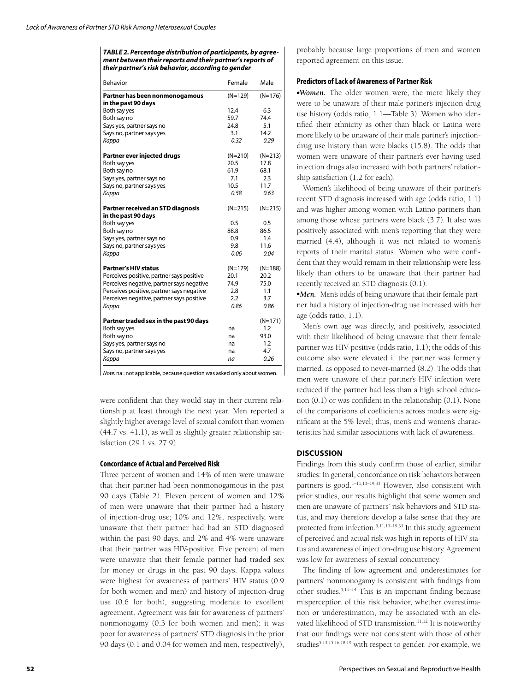## *TABLE 2. Percentage distribution of participants, by agreement between their reports and their partner's reports of their partner's risk behavior, according to gender*

| Behavior                                              | Female    | Male      |
|-------------------------------------------------------|-----------|-----------|
| Partner has been nonmonogamous<br>in the past 90 days | $(N=129)$ | $(N=176)$ |
| Both say yes                                          | 12.4      | 6.3       |
| Both say no                                           | 59.7      | 74.4      |
| Says yes, partner says no                             | 24.8      | 5.1       |
| Says no, partner says yes                             | 3.1       | 14.2      |
| Kappa                                                 | 0.32      | 0.29      |
| Partner ever injected drugs                           | $(N=210)$ | $(N=213)$ |
| Both say yes                                          | 20.5      | 17.8      |
| Both say no                                           | 61.9      | 68.1      |
| Says yes, partner says no                             | 7.1       | 2.3       |
| Says no, partner says yes                             | 10.5      | 11.7      |
| Kappa                                                 | 0.58      | 0.63      |
| Partner received an STD diagnosis                     | $(N=215)$ | $(N=215)$ |
| in the past 90 days                                   |           |           |
| Both say yes                                          | 0.5       | 0.5       |
| Both say no                                           | 88.8      | 86.5      |
| Says yes, partner says no                             | 0.9       | 1.4       |
| Says no, partner says yes                             | 9.8       | 11.6      |
| Kappa                                                 | 0.06      | 0.04      |
| <b>Partner's HIV status</b>                           | $(N=179)$ | $(N=188)$ |
| Perceives positive, partner says positive             | 20.1      | 20.2      |
| Perceives negative, partner says negative             | 74.9      | 75.0      |
| Perceives positive, partner says negative             | 2.8       | 1.1       |
| Perceives negative, partner says positive             | 2.2       | 3.7       |
| Kappa                                                 | 0.86      | 0.86      |
| Partner traded sex in the past 90 days                |           | $(N=171)$ |
| Both say yes                                          | na        | 1.2       |
| Both say no                                           | na        | 93.0      |
| Says yes, partner says no                             | na        | 1.2       |
| Says no, partner says yes                             | na        | 4.7       |
| Kappa                                                 | na        | 0.26      |

*Note:* na=not applicable, because question was asked only about women.